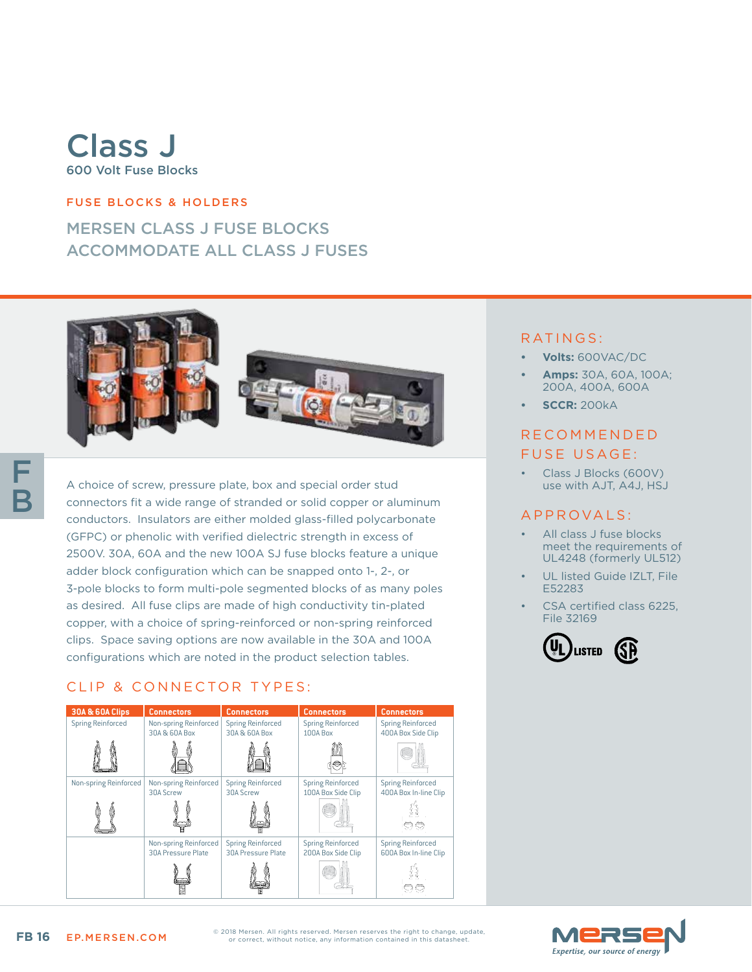# Class J 600 Volt Fuse Blocks

### FUSE BLOCKS & HOLDERS

# MERSEN CLASS J FUSE BLOCKS ACCOMMODATE ALL CLASS J FUSES



A choice of screw, pressure plate, box and special order stud connectors fit a wide range of stranded or solid copper or aluminum conductors. Insulators are either molded glass-filled polycarbonate (GFPC) or phenolic with verified dielectric strength in excess of 2500V. 30A, 60A and the new 100A SJ fuse blocks feature a unique adder block configuration which can be snapped onto 1-, 2-, or 3-pole blocks to form multi-pole segmented blocks of as many poles as desired. All fuse clips are made of high conductivity tin-plated copper, with a choice of spring-reinforced or non-spring reinforced clips. Space saving options are now available in the 30A and 100A configurations which are noted in the product selection tables.

# CLIP & CONNECTOR TYPES:

| <b>30A &amp; 60A Clips</b> | <b>Connectors</b>         | <b>Connectors</b>         | <b>Connectors</b>        | <b>Connectors</b>        |
|----------------------------|---------------------------|---------------------------|--------------------------|--------------------------|
| <b>Spring Reinforced</b>   | Non-spring Reinforced     | <b>Spring Reinforced</b>  | <b>Spring Reinforced</b> | <b>Spring Reinforced</b> |
|                            | 30A & 60A Box             | 30A & 60A Box             | 100A Box                 | 400A Box Side Clip       |
|                            |                           |                           |                          |                          |
| Non-spring Reinforced      | Non-spring Reinforced     | <b>Spring Reinforced</b>  | <b>Spring Reinforced</b> | <b>Spring Reinforced</b> |
|                            | 30A Screw                 | 30A Screw                 | 100A Box Side Clip       | 400A Box In-line Clip    |
|                            |                           |                           |                          |                          |
|                            | Non-spring Reinforced     | <b>Spring Reinforced</b>  | <b>Spring Reinforced</b> | <b>Spring Reinforced</b> |
|                            | <b>30A Pressure Plate</b> | <b>30A Pressure Plate</b> | 200A Box Side Clip       | 600A Box In-line Clip    |
|                            |                           |                           |                          |                          |

### RATINGS:

- **• Volts:** 600VAC/DC
- **• Amps:** 30A, 60A, 100A; 200A, 400A, 600A
- **• SCCR:** 200kA

# R E C O M M E N D E D FUSE USAGE:

• Class J Blocks (600V) use with AJT, A4J, HSJ

## A P P R OVA L S :

- All class J fuse blocks meet the requirements of UL4248 (formerly UL512)
- UL listed Guide IZLT, File E52283
- CSA certified class 6225. File 32169



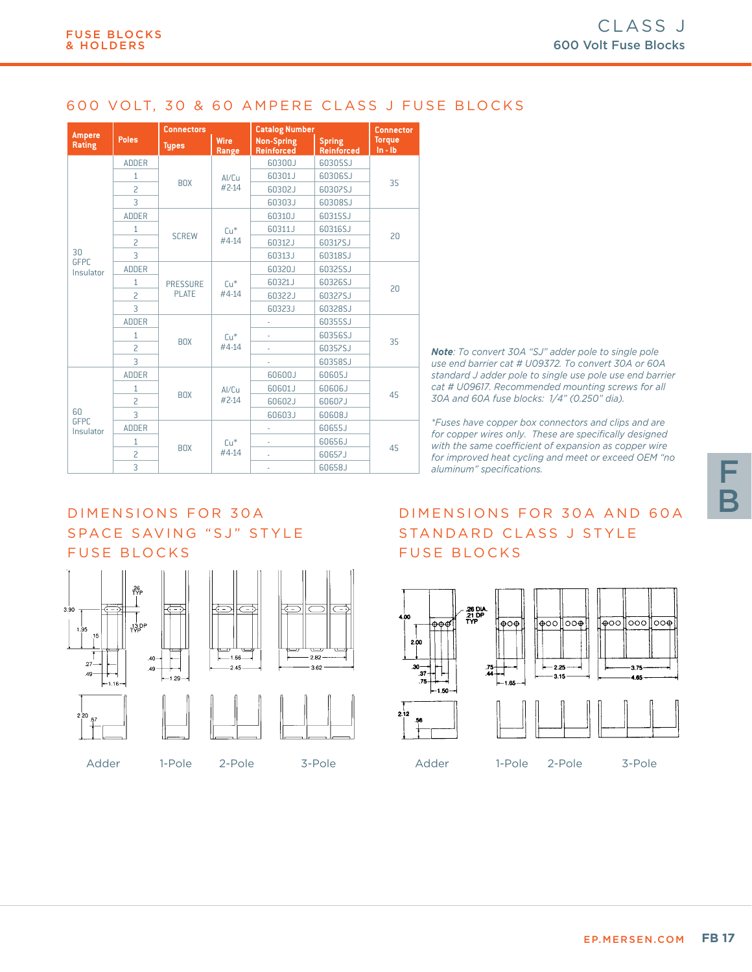### 600 VOLT, 30 & 60 AMPERE CLASS J FUSE BLOCKS

| <b>Ampere</b>                  |                | <b>Connectors</b>               |                      | <b>Catalog Number</b>                  | <b>Connector</b>                   |                              |  |
|--------------------------------|----------------|---------------------------------|----------------------|----------------------------------------|------------------------------------|------------------------------|--|
| Rating                         | <b>Poles</b>   | <b>Types</b>                    | <b>Wire</b><br>Range | <b>Non-Spring</b><br><b>Reinforced</b> | <b>Spring</b><br><b>Reinforced</b> | <b>Torque</b><br>$\ln - \ln$ |  |
|                                | <b>ADDER</b>   | <b>BOX</b>                      | Al/Cu<br>#2-14       | 60300J                                 | 60305SJ                            | 35                           |  |
|                                | $\mathbf{1}$   |                                 |                      | 60301J                                 | 60306SJ                            |                              |  |
|                                | $\overline{c}$ |                                 |                      | 60302J                                 | 60307SJ                            |                              |  |
|                                | 3              |                                 |                      | 60303J                                 | 60308SJ                            |                              |  |
|                                | <b>ADDER</b>   |                                 | $Cu*$<br>#4-14       | 60310J                                 | 60315SJ                            |                              |  |
|                                | $\mathbf{1}$   | <b>SCREW</b>                    |                      | 60311J                                 | 60316SJ                            |                              |  |
|                                | $\overline{c}$ |                                 |                      | 60312J                                 | 60317SJ                            | 20                           |  |
| 30                             | 3              |                                 |                      | 60313J                                 | 60318SJ                            |                              |  |
| <b>GFPC</b><br>Insulator       | <b>ADDER</b>   |                                 | $Cu*$<br>#4-14       | 60320J                                 | 60325SJ                            |                              |  |
|                                | $\mathbf{1}$   | <b>PRESSURE</b><br><b>PLATE</b> |                      | 60321J                                 | 60326SJ                            | 20                           |  |
|                                | $\overline{c}$ |                                 |                      | 60322J                                 | 60327SJ                            |                              |  |
|                                | 3              |                                 |                      | 60323J                                 | 60328SJ                            |                              |  |
|                                | <b>ADDER</b>   |                                 | $Cu*$<br>#4-14       |                                        | 60355SJ                            |                              |  |
|                                | 1              | <b>BOX</b>                      |                      |                                        | 60356SJ                            |                              |  |
|                                | $\overline{c}$ |                                 |                      |                                        | 60357SJ                            | 35                           |  |
|                                | 3              |                                 |                      |                                        | 60358SJ                            |                              |  |
| 60<br><b>GFPC</b><br>Insulator | <b>ADDER</b>   |                                 | Al/Cu<br>#2-14       | 60600J                                 | 60605J                             |                              |  |
|                                | $\mathbf{1}$   | <b>BOX</b>                      |                      | 60601J                                 | 60606J                             | 45                           |  |
|                                | $\overline{c}$ |                                 |                      | 60602J                                 | 60607J                             |                              |  |
|                                | $\overline{3}$ |                                 |                      | 60603J                                 | L80608                             |                              |  |
|                                | <b>ADDER</b>   |                                 | $Cu*$<br>#4-14       | ٠                                      | 60655J                             | 45                           |  |
|                                | 1              | <b>BOX</b>                      |                      |                                        | 60656J                             |                              |  |
|                                | 2              |                                 |                      | L.                                     | 60657J                             |                              |  |
|                                | 3              |                                 |                      |                                        | 60658J                             |                              |  |

*Note: To convert 30A "SJ" adder pole to single pole use end barrier cat # U09372. To convert 30A or 60A standard J adder pole to single use pole use end barrier cat # U09617. Recommended mounting screws for all 30A and 60A fuse blocks: 1/4" (0.250" dia).* 

*\*Fuses have copper box connectors and clips and are for copper wires only. These are specifically designed with the same coefficient of expansion as copper wire for improved heat cycling and meet or exceed OEM "no aluminum" specifications.*

# SPACE SAVING "SJ" STYLE FUSE BLOCKS

DIMENSIONS FOR 30A



# DIMENSIONS FOR 30A AND 60A STANDARD CLASS J STYLE FUSE BLOCKS



F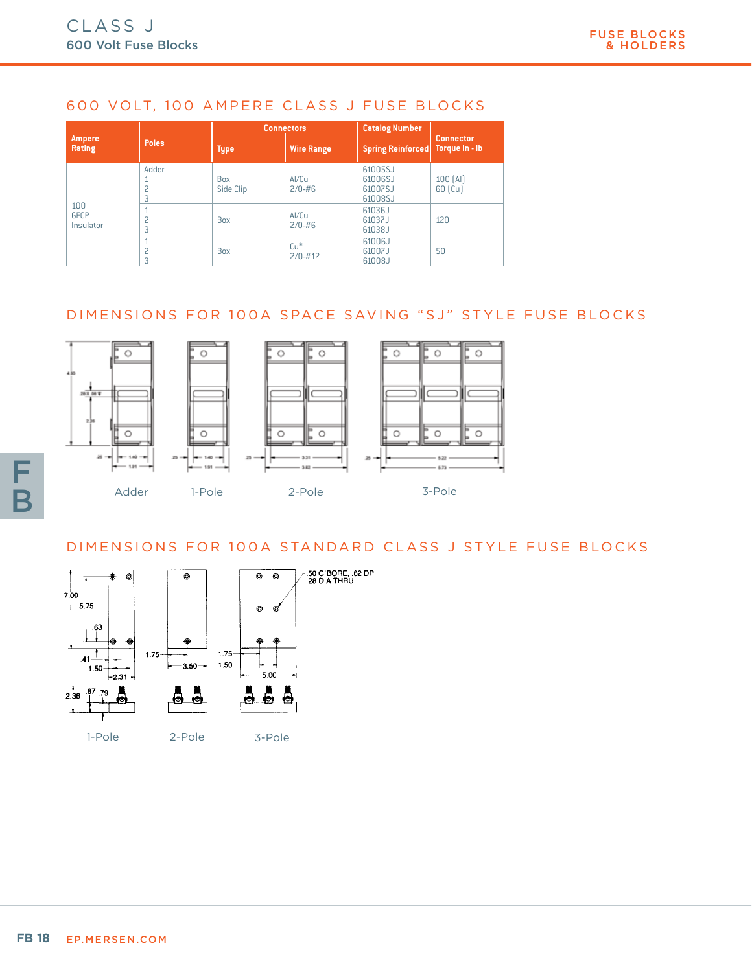# 600 VOLT, 100 AMPERE CLASS J FUSE BLOCKS

|                                 | <b>Poles</b> | <b>Connectors</b>       |                      | <b>Catalog Number</b>                    |                                          |
|---------------------------------|--------------|-------------------------|----------------------|------------------------------------------|------------------------------------------|
| <b>Ampere</b><br>Rating         |              | <b>Type</b>             | <b>Wire Range</b>    | <b>Spring Reinforced</b>                 | <b>Connector</b><br>Torque In - Ib       |
| 100<br><b>GFCP</b><br>Insulator | Adder        | <b>Box</b><br>Side Clip | Al/Cu<br>$2/0 - #6$  | 61005SJ<br>61006SJ<br>61007SJ<br>61008SJ | 100(AI)<br>$60$ $\left[\text{Cu}\right]$ |
|                                 |              | Box                     | Al/Cu<br>$2/0 - #6$  | 61036J<br>61037J<br>61038J               | 120                                      |
|                                 |              | Box                     | $Cu*$<br>$2/0 - #12$ | 61006J<br>61007J<br>61008J               | 50                                       |

# DIMENSIONS FOR 100A SPACE SAVING "SJ" STYLE FUSE BLOCKS



# DIMENSIONS FOR 100A STANDARD CLASS J STYLE FUSE BLOCKS